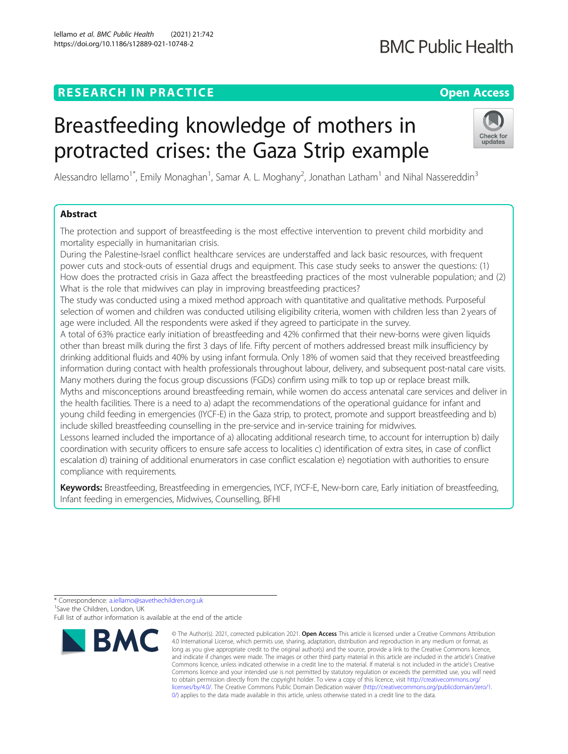# **RESEARCH IN PRACTICE Example 20 and 20 and 20 and 20 and 20 and 20 and 20 and 20 and 20 and 20 and 20 and 20 and 20 and 20 and 20 and 20 and 20 and 20 and 20 and 20 and 20 and 20 and 20 and 20 and 20 and 20 and 20 and 2**

# Breastfeeding knowledge of mothers in protracted crises: the Gaza Strip example

Alessandro Iellamo<sup>1\*</sup>, Emily Monaghan<sup>1</sup>, Samar A. L. Moghany<sup>2</sup>, Jonathan Latham<sup>1</sup> and Nihal Nassereddin<sup>3</sup>

# Abstract

The protection and support of breastfeeding is the most effective intervention to prevent child morbidity and mortality especially in humanitarian crisis.

During the Palestine-Israel conflict healthcare services are understaffed and lack basic resources, with frequent power cuts and stock-outs of essential drugs and equipment. This case study seeks to answer the questions: (1) How does the protracted crisis in Gaza affect the breastfeeding practices of the most vulnerable population; and (2) What is the role that midwives can play in improving breastfeeding practices?

The study was conducted using a mixed method approach with quantitative and qualitative methods. Purposeful selection of women and children was conducted utilising eligibility criteria, women with children less than 2 years of age were included. All the respondents were asked if they agreed to participate in the survey.

A total of 63% practice early initiation of breastfeeding and 42% confirmed that their new-borns were given liquids other than breast milk during the first 3 days of life. Fifty percent of mothers addressed breast milk insufficiency by drinking additional fluids and 40% by using infant formula. Only 18% of women said that they received breastfeeding information during contact with health professionals throughout labour, delivery, and subsequent post-natal care visits. Many mothers during the focus group discussions (FGDs) confirm using milk to top up or replace breast milk. Myths and misconceptions around breastfeeding remain, while women do access antenatal care services and deliver in the health facilities. There is a need to a) adapt the recommendations of the operational guidance for infant and young child feeding in emergencies (IYCF-E) in the Gaza strip, to protect, promote and support breastfeeding and b) include skilled breastfeeding counselling in the pre-service and in-service training for midwives.

Lessons learned included the importance of a) allocating additional research time, to account for interruption b) daily coordination with security officers to ensure safe access to localities c) identification of extra sites, in case of conflict escalation d) training of additional enumerators in case conflict escalation e) negotiation with authorities to ensure compliance with requirements.

Keywords: Breastfeeding, Breastfeeding in emergencies, IYCF, IYCF-E, New-born care, Early initiation of breastfeeding, Infant feeding in emergencies, Midwives, Counselling, BFHI



<sup>©</sup> The Author(s). 2021, corrected publication 2021. Open Access This article is licensed under a Creative Commons Attribution 4.0 International License, which permits use, sharing, adaptation, distribution and reproduction in any medium or format, as long as you give appropriate credit to the original author(s) and the source, provide a link to the Creative Commons licence, and indicate if changes were made. The images or other third party material in this article are included in the article's Creative Commons licence, unless indicated otherwise in a credit line to the material. If material is not included in the article's Creative Commons licence and your intended use is not permitted by statutory regulation or exceeds the permitted use, you will need to obtain permission directly from the copyright holder. To view a copy of this licence, visit [http://creativecommons.org/](http://creativecommons.org/licenses/by/4.0/) [licenses/by/4.0/.](http://creativecommons.org/licenses/by/4.0/) The Creative Commons Public Domain Dedication waiver ([http://creativecommons.org/publicdomain/zero/1.](http://creativecommons.org/publicdomain/zero/1.0/) [0/\)](http://creativecommons.org/publicdomain/zero/1.0/) applies to the data made available in this article, unless otherwise stated in a credit line to the data.

**BMC Public Health** 



<sup>\*</sup> Correspondence: [a.iellamo@savethechildren.org.uk](mailto:a.iellamo@savethechildren.org.uk) <sup>1</sup> Save the Children, London, UK Full list of author information is available at the end of the article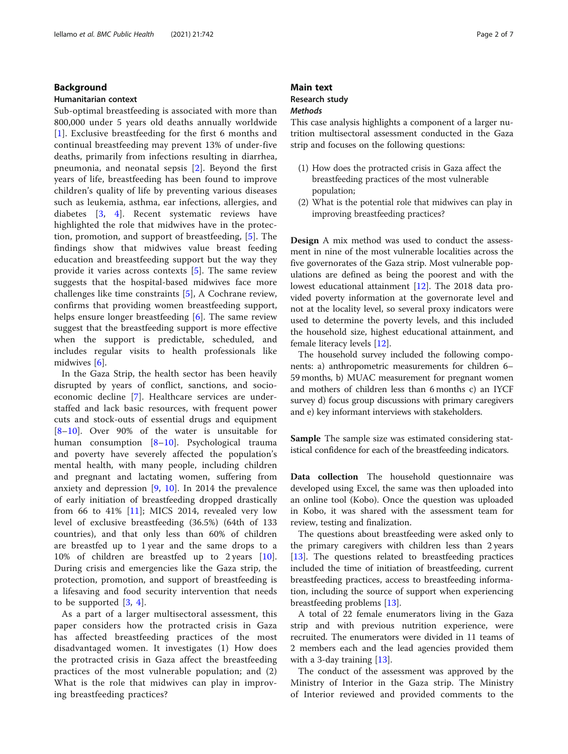# Background

## Humanitarian context

Sub-optimal breastfeeding is associated with more than 800,000 under 5 years old deaths annually worldwide [[1](#page-6-0)]. Exclusive breastfeeding for the first 6 months and continual breastfeeding may prevent 13% of under-five deaths, primarily from infections resulting in diarrhea, pneumonia, and neonatal sepsis [\[2\]](#page-6-0). Beyond the first years of life, breastfeeding has been found to improve children's quality of life by preventing various diseases such as leukemia, asthma, ear infections, allergies, and diabetes [[3,](#page-6-0) [4](#page-6-0)]. Recent systematic reviews have highlighted the role that midwives have in the protection, promotion, and support of breastfeeding, [[5](#page-6-0)]. The findings show that midwives value breast feeding education and breastfeeding support but the way they provide it varies across contexts [[5\]](#page-6-0). The same review suggests that the hospital-based midwives face more challenges like time constraints [[5\]](#page-6-0), A Cochrane review, confirms that providing women breastfeeding support, helps ensure longer breastfeeding [[6\]](#page-6-0). The same review suggest that the breastfeeding support is more effective when the support is predictable, scheduled, and includes regular visits to health professionals like midwives [[6\]](#page-6-0).

In the Gaza Strip, the health sector has been heavily disrupted by years of conflict, sanctions, and socioeconomic decline [\[7](#page-6-0)]. Healthcare services are understaffed and lack basic resources, with frequent power cuts and stock-outs of essential drugs and equipment [[8](#page-6-0)–[10\]](#page-6-0). Over 90% of the water is unsuitable for human consumption [[8](#page-6-0)–[10](#page-6-0)]. Psychological trauma and poverty have severely affected the population's mental health, with many people, including children and pregnant and lactating women, suffering from anxiety and depression [[9,](#page-6-0) [10\]](#page-6-0). In 2014 the prevalence of early initiation of breastfeeding dropped drastically from 66 to 41%  $[11]$  $[11]$ ; MICS 2014, revealed very low level of exclusive breastfeeding (36.5%) (64th of 133 countries), and that only less than 60% of children are breastfed up to 1 year and the same drops to a 10% of children are breastfed up to 2 years [\[10](#page-6-0)]. During crisis and emergencies like the Gaza strip, the protection, promotion, and support of breastfeeding is a lifesaving and food security intervention that needs to be supported  $[3, 4]$  $[3, 4]$  $[3, 4]$  $[3, 4]$ .

As a part of a larger multisectoral assessment, this paper considers how the protracted crisis in Gaza has affected breastfeeding practices of the most disadvantaged women. It investigates (1) How does the protracted crisis in Gaza affect the breastfeeding practices of the most vulnerable population; and (2) What is the role that midwives can play in improving breastfeeding practices?

# Main text Research study **Methods**

This case analysis highlights a component of a larger nutrition multisectoral assessment conducted in the Gaza strip and focuses on the following questions:

- (1) How does the protracted crisis in Gaza affect the breastfeeding practices of the most vulnerable population;
- (2) What is the potential role that midwives can play in improving breastfeeding practices?

Design A mix method was used to conduct the assessment in nine of the most vulnerable localities across the five governorates of the Gaza strip. Most vulnerable populations are defined as being the poorest and with the lowest educational attainment [[12\]](#page-6-0). The 2018 data provided poverty information at the governorate level and not at the locality level, so several proxy indicators were used to determine the poverty levels, and this included the household size, highest educational attainment, and female literacy levels [\[12](#page-6-0)].

The household survey included the following components: a) anthropometric measurements for children 6– 59 months, b) MUAC measurement for pregnant women and mothers of children less than 6 months c) an IYCF survey d) focus group discussions with primary caregivers and e) key informant interviews with stakeholders.

Sample The sample size was estimated considering statistical confidence for each of the breastfeeding indicators.

Data collection The household questionnaire was developed using Excel, the same was then uploaded into an online tool (Kobo). Once the question was uploaded in Kobo, it was shared with the assessment team for review, testing and finalization.

The questions about breastfeeding were asked only to the primary caregivers with children less than 2 years [[13\]](#page-6-0). The questions related to breastfeeding practices included the time of initiation of breastfeeding, current breastfeeding practices, access to breastfeeding information, including the source of support when experiencing breastfeeding problems [[13\]](#page-6-0).

A total of 22 female enumerators living in the Gaza strip and with previous nutrition experience, were recruited. The enumerators were divided in 11 teams of 2 members each and the lead agencies provided them with a 3-day training [\[13](#page-6-0)].

The conduct of the assessment was approved by the Ministry of Interior in the Gaza strip. The Ministry of Interior reviewed and provided comments to the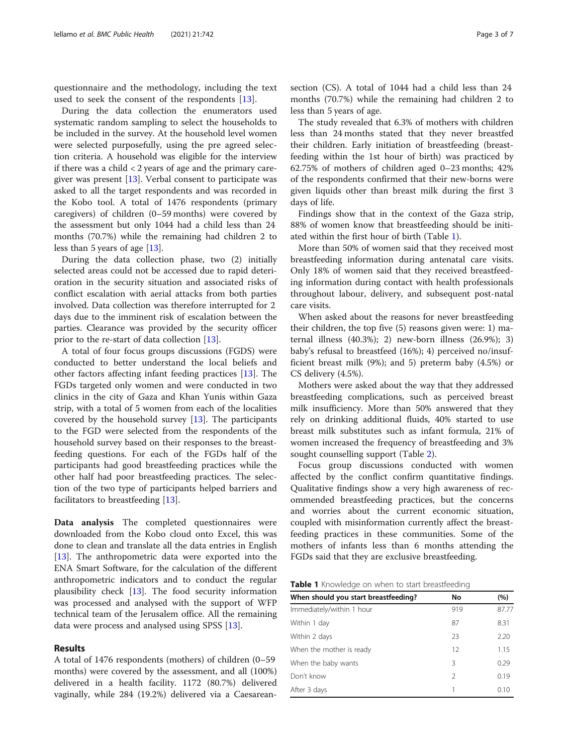questionnaire and the methodology, including the text used to seek the consent of the respondents [[13](#page-6-0)].

During the data collection the enumerators used systematic random sampling to select the households to be included in the survey. At the household level women were selected purposefully, using the pre agreed selection criteria. A household was eligible for the interview if there was a child  $\langle 2 \rangle$  years of age and the primary caregiver was present  $[13]$  $[13]$ . Verbal consent to participate was asked to all the target respondents and was recorded in the Kobo tool. A total of 1476 respondents (primary caregivers) of children (0–59 months) were covered by the assessment but only 1044 had a child less than 24 months (70.7%) while the remaining had children 2 to less than 5 years of age [\[13](#page-6-0)].

During the data collection phase, two (2) initially selected areas could not be accessed due to rapid deterioration in the security situation and associated risks of conflict escalation with aerial attacks from both parties involved. Data collection was therefore interrupted for 2 days due to the imminent risk of escalation between the parties. Clearance was provided by the security officer prior to the re-start of data collection [[13](#page-6-0)].

A total of four focus groups discussions (FGDS) were conducted to better understand the local beliefs and other factors affecting infant feeding practices [\[13](#page-6-0)]. The FGDs targeted only women and were conducted in two clinics in the city of Gaza and Khan Yunis within Gaza strip, with a total of 5 women from each of the localities covered by the household survey [[13\]](#page-6-0). The participants to the FGD were selected from the respondents of the household survey based on their responses to the breastfeeding questions. For each of the FGDs half of the participants had good breastfeeding practices while the other half had poor breastfeeding practices. The selection of the two type of participants helped barriers and facilitators to breastfeeding [[13\]](#page-6-0).

Data analysis The completed questionnaires were downloaded from the Kobo cloud onto Excel, this was done to clean and translate all the data entries in English [[13\]](#page-6-0). The anthropometric data were exported into the ENA Smart Software, for the calculation of the different anthropometric indicators and to conduct the regular plausibility check [[13](#page-6-0)]. The food security information was processed and analysed with the support of WFP technical team of the Jerusalem office. All the remaining data were process and analysed using SPSS [\[13](#page-6-0)].

# Results

A total of 1476 respondents (mothers) of children (0–59 months) were covered by the assessment, and all (100%) delivered in a health facility. 1172 (80.7%) delivered vaginally, while 284 (19.2%) delivered via a Caesarean-

section (CS). A total of 1044 had a child less than 24 months (70.7%) while the remaining had children 2 to less than 5 years of age.

The study revealed that 6.3% of mothers with children less than 24 months stated that they never breastfed their children. Early initiation of breastfeeding (breastfeeding within the 1st hour of birth) was practiced by 62.75% of mothers of children aged 0–23 months; 42% of the respondents confirmed that their new-borns were given liquids other than breast milk during the first 3 days of life.

Findings show that in the context of the Gaza strip, 88% of women know that breastfeeding should be initiated within the first hour of birth (Table 1).

More than 50% of women said that they received most breastfeeding information during antenatal care visits. Only 18% of women said that they received breastfeeding information during contact with health professionals throughout labour, delivery, and subsequent post-natal care visits.

When asked about the reasons for never breastfeeding their children, the top five (5) reasons given were: 1) maternal illness (40.3%); 2) new-born illness (26.9%); 3) baby's refusal to breastfeed (16%); 4) perceived no/insufficient breast milk (9%); and 5) preterm baby (4.5%) or CS delivery (4.5%).

Mothers were asked about the way that they addressed breastfeeding complications, such as perceived breast milk insufficiency. More than 50% answered that they rely on drinking additional fluids, 40% started to use breast milk substitutes such as infant formula, 21% of women increased the frequency of breastfeeding and 3% sought counselling support (Table [2\)](#page-3-0).

Focus group discussions conducted with women affected by the conflict confirm quantitative findings. Qualitative findings show a very high awareness of recommended breastfeeding practices, but the concerns and worries about the current economic situation, coupled with misinformation currently affect the breastfeeding practices in these communities. Some of the mothers of infants less than 6 months attending the FGDs said that they are exclusive breastfeeding.

**Table 1** Knowledge on when to start breastfeeding

| When should you start breastfeeding? | No            | (%)   |
|--------------------------------------|---------------|-------|
| Immediately/within 1 hour            | 919           | 87.77 |
| Within 1 day                         | 87            | 8.31  |
| Within 2 days                        | 23            | 2.20  |
| When the mother is ready             | 12            | 1.15  |
| When the baby wants                  | 3             | 0.29  |
| Don't know                           | $\mathcal{P}$ | 0.19  |
| After 3 days                         | 1             | 0.10  |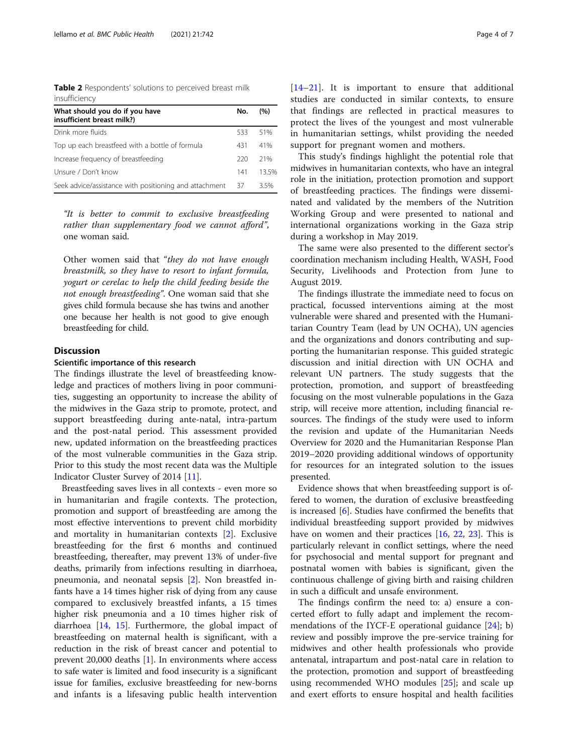<span id="page-3-0"></span>Table 2 Respondents' solutions to perceived breast milk insufficiency

| What should you do if you have<br>insufficient breast milk?) | No. | (%)  |
|--------------------------------------------------------------|-----|------|
| Drink more fluids                                            | 533 | 51%  |
| Top up each breastfeed with a bottle of formula              | 431 | 41%  |
| Increase frequency of breastfeeding                          | 220 | 21%  |
| Unsure / Don't know                                          | 141 | 135% |
| Seek advice/assistance with positioning and attachment       | 37  | 35%  |

"It is better to commit to exclusive breastfeeding rather than supplementary food we cannot afford", one woman said.

Other women said that "they do not have enough breastmilk, so they have to resort to infant formula, yogurt or cerelac to help the child feeding beside the not enough breastfeeding". One woman said that she gives child formula because she has twins and another one because her health is not good to give enough breastfeeding for child.

# **Discussion**

# Scientific importance of this research

The findings illustrate the level of breastfeeding knowledge and practices of mothers living in poor communities, suggesting an opportunity to increase the ability of the midwives in the Gaza strip to promote, protect, and support breastfeeding during ante-natal, intra-partum and the post-natal period. This assessment provided new, updated information on the breastfeeding practices of the most vulnerable communities in the Gaza strip. Prior to this study the most recent data was the Multiple Indicator Cluster Survey of 2014 [\[11](#page-6-0)].

Breastfeeding saves lives in all contexts - even more so in humanitarian and fragile contexts. The protection, promotion and support of breastfeeding are among the most effective interventions to prevent child morbidity and mortality in humanitarian contexts [[2\]](#page-6-0). Exclusive breastfeeding for the first 6 months and continued breastfeeding, thereafter, may prevent 13% of under-five deaths, primarily from infections resulting in diarrhoea, pneumonia, and neonatal sepsis [[2\]](#page-6-0). Non breastfed infants have a 14 times higher risk of dying from any cause compared to exclusively breastfed infants, a 15 times higher risk pneumonia and a 10 times higher risk of diarrhoea [[14,](#page-6-0) [15](#page-6-0)]. Furthermore, the global impact of breastfeeding on maternal health is significant, with a reduction in the risk of breast cancer and potential to prevent  $20,000$  deaths  $[1]$  $[1]$ . In environments where access to safe water is limited and food insecurity is a significant issue for families, exclusive breastfeeding for new-borns and infants is a lifesaving public health intervention [[14](#page-6-0)–[21\]](#page-6-0). It is important to ensure that additional studies are conducted in similar contexts, to ensure that findings are reflected in practical measures to protect the lives of the youngest and most vulnerable in humanitarian settings, whilst providing the needed support for pregnant women and mothers.

This study's findings highlight the potential role that midwives in humanitarian contexts, who have an integral role in the initiation, protection promotion and support of breastfeeding practices. The findings were disseminated and validated by the members of the Nutrition Working Group and were presented to national and international organizations working in the Gaza strip during a workshop in May 2019.

The same were also presented to the different sector's coordination mechanism including Health, WASH, Food Security, Livelihoods and Protection from June to August 2019.

The findings illustrate the immediate need to focus on practical, focussed interventions aiming at the most vulnerable were shared and presented with the Humanitarian Country Team (lead by UN OCHA), UN agencies and the organizations and donors contributing and supporting the humanitarian response. This guided strategic discussion and initial direction with UN OCHA and relevant UN partners. The study suggests that the protection, promotion, and support of breastfeeding focusing on the most vulnerable populations in the Gaza strip, will receive more attention, including financial resources. The findings of the study were used to inform the revision and update of the Humanitarian Needs Overview for 2020 and the Humanitarian Response Plan 2019–2020 providing additional windows of opportunity for resources for an integrated solution to the issues presented.

Evidence shows that when breastfeeding support is offered to women, the duration of exclusive breastfeeding is increased [[6\]](#page-6-0). Studies have confirmed the benefits that individual breastfeeding support provided by midwives have on women and their practices [[16,](#page-6-0) [22](#page-6-0), [23](#page-6-0)]. This is particularly relevant in conflict settings, where the need for psychosocial and mental support for pregnant and postnatal women with babies is significant, given the continuous challenge of giving birth and raising children in such a difficult and unsafe environment.

The findings confirm the need to: a) ensure a concerted effort to fully adapt and implement the recommendations of the IYCF-E operational guidance  $[24]$  $[24]$ ; b) review and possibly improve the pre-service training for midwives and other health professionals who provide antenatal, intrapartum and post-natal care in relation to the protection, promotion and support of breastfeeding using recommended WHO modules [\[25](#page-6-0)]; and scale up and exert efforts to ensure hospital and health facilities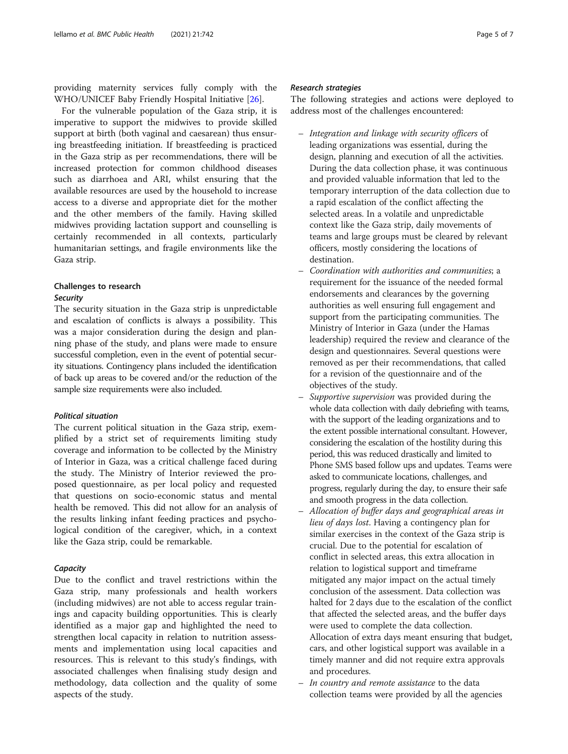providing maternity services fully comply with the WHO/UNICEF Baby Friendly Hospital Initiative [[26\]](#page-6-0).

For the vulnerable population of the Gaza strip, it is imperative to support the midwives to provide skilled support at birth (both vaginal and caesarean) thus ensuring breastfeeding initiation. If breastfeeding is practiced in the Gaza strip as per recommendations, there will be increased protection for common childhood diseases such as diarrhoea and ARI, whilst ensuring that the available resources are used by the household to increase access to a diverse and appropriate diet for the mother and the other members of the family. Having skilled midwives providing lactation support and counselling is certainly recommended in all contexts, particularly humanitarian settings, and fragile environments like the Gaza strip.

# Challenges to research

# **Security**

The security situation in the Gaza strip is unpredictable and escalation of conflicts is always a possibility. This was a major consideration during the design and planning phase of the study, and plans were made to ensure successful completion, even in the event of potential security situations. Contingency plans included the identification of back up areas to be covered and/or the reduction of the sample size requirements were also included.

# Political situation

The current political situation in the Gaza strip, exemplified by a strict set of requirements limiting study coverage and information to be collected by the Ministry of Interior in Gaza, was a critical challenge faced during the study. The Ministry of Interior reviewed the proposed questionnaire, as per local policy and requested that questions on socio-economic status and mental health be removed. This did not allow for an analysis of the results linking infant feeding practices and psychological condition of the caregiver, which, in a context like the Gaza strip, could be remarkable.

# **Capacity**

Due to the conflict and travel restrictions within the Gaza strip, many professionals and health workers (including midwives) are not able to access regular trainings and capacity building opportunities. This is clearly identified as a major gap and highlighted the need to strengthen local capacity in relation to nutrition assessments and implementation using local capacities and resources. This is relevant to this study's findings, with associated challenges when finalising study design and methodology, data collection and the quality of some aspects of the study.

# Research strategies

The following strategies and actions were deployed to address most of the challenges encountered:

- Integration and linkage with security officers of leading organizations was essential, during the design, planning and execution of all the activities. During the data collection phase, it was continuous and provided valuable information that led to the temporary interruption of the data collection due to a rapid escalation of the conflict affecting the selected areas. In a volatile and unpredictable context like the Gaza strip, daily movements of teams and large groups must be cleared by relevant officers, mostly considering the locations of destination.
- Coordination with authorities and communities; a requirement for the issuance of the needed formal endorsements and clearances by the governing authorities as well ensuring full engagement and support from the participating communities. The Ministry of Interior in Gaza (under the Hamas leadership) required the review and clearance of the design and questionnaires. Several questions were removed as per their recommendations, that called for a revision of the questionnaire and of the objectives of the study.
- Supportive supervision was provided during the whole data collection with daily debriefing with teams, with the support of the leading organizations and to the extent possible international consultant. However, considering the escalation of the hostility during this period, this was reduced drastically and limited to Phone SMS based follow ups and updates. Teams were asked to communicate locations, challenges, and progress, regularly during the day, to ensure their safe and smooth progress in the data collection.
- Allocation of buffer days and geographical areas in lieu of days lost. Having a contingency plan for similar exercises in the context of the Gaza strip is crucial. Due to the potential for escalation of conflict in selected areas, this extra allocation in relation to logistical support and timeframe mitigated any major impact on the actual timely conclusion of the assessment. Data collection was halted for 2 days due to the escalation of the conflict that affected the selected areas, and the buffer days were used to complete the data collection. Allocation of extra days meant ensuring that budget, cars, and other logistical support was available in a timely manner and did not require extra approvals and procedures.
- In country and remote assistance to the data collection teams were provided by all the agencies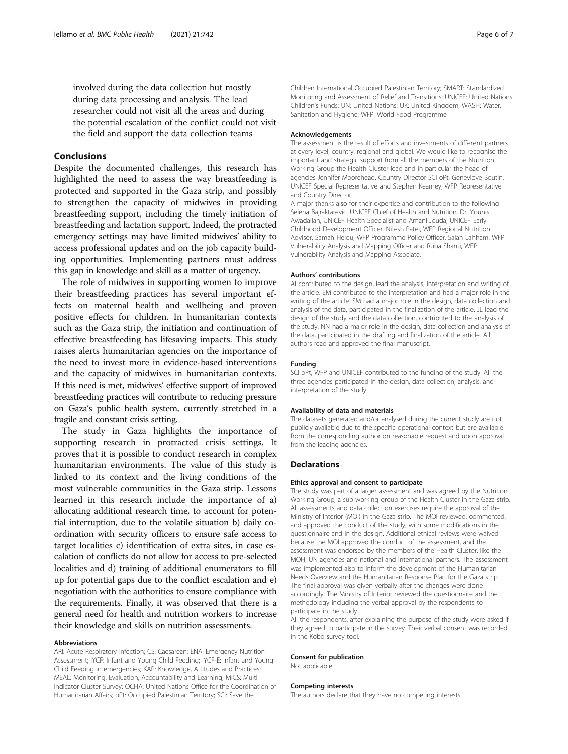involved during the data collection but mostly during data processing and analysis. The lead researcher could not visit all the areas and during the potential escalation of the conflict could not visit the field and support the data collection teams

# Conclusions

Despite the documented challenges, this research has highlighted the need to assess the way breastfeeding is protected and supported in the Gaza strip, and possibly to strengthen the capacity of midwives in providing breastfeeding support, including the timely initiation of breastfeeding and lactation support. Indeed, the protracted emergency settings may have limited midwives' ability to access professional updates and on the job capacity building opportunities. Implementing partners must address this gap in knowledge and skill as a matter of urgency.

The role of midwives in supporting women to improve their breastfeeding practices has several important effects on maternal health and wellbeing and proven positive effects for children. In humanitarian contexts such as the Gaza strip, the initiation and continuation of effective breastfeeding has lifesaving impacts. This study raises alerts humanitarian agencies on the importance of the need to invest more in evidence-based interventions and the capacity of midwives in humanitarian contexts. If this need is met, midwives' effective support of improved breastfeeding practices will contribute to reducing pressure on Gaza's public health system, currently stretched in a fragile and constant crisis setting.

The study in Gaza highlights the importance of supporting research in protracted crisis settings. It proves that it is possible to conduct research in complex humanitarian environments. The value of this study is linked to its context and the living conditions of the most vulnerable communities in the Gaza strip. Lessons learned in this research include the importance of a) allocating additional research time, to account for potential interruption, due to the volatile situation b) daily coordination with security officers to ensure safe access to target localities c) identification of extra sites, in case escalation of conflicts do not allow for access to pre-selected localities and d) training of additional enumerators to fill up for potential gaps due to the conflict escalation and e) negotiation with the authorities to ensure compliance with the requirements. Finally, it was observed that there is a general need for health and nutrition workers to increase their knowledge and skills on nutrition assessments.

# Abbreviations

ARI: Acute Respiratory Infection; CS: Caesarean; ENA: Emergency Nutrition Assessment; IYCF: Infant and Young Child Feeding; IYCF-E: Infant and Young Child Feeding in emergencies; KAP: Knowledge, Attitudes and Practices; MEAL: Monitoring, Evaluation, Accountability and Learning; MICS: Multi Indicator Cluster Survey; OCHA: United Nations Office for the Coordination of Humanitarian Affairs; oPt: Occupied Palestinian Territory; SCI: Save the

Children International Occupied Palestinian Territory; SMART: Standardized Monitoring and Assessment of Relief and Transitions; UNICEF: United Nations Children's Funds; UN: United Nations; UK: United Kingdom; WASH: Water, Sanitation and Hygiene; WFP: World Food Programme

#### Acknowledgements

The assessment is the result of efforts and investments of different partners at every level, country, regional and global. We would like to recognise the important and strategic support from all the members of the Nutrition Working Group the Health Cluster lead and in particular the head of agencies Jennifer Moorehead, Country Director SCI oPt, Genevieve Boutin, UNICEF Special Representative and Stephen Kearney, WFP Representative and Country Director.

A major thanks also for their expertise and contribution to the following Selena Bajraktarevic, UNICEF Chief of Health and Nutrition, Dr. Younis Awadallah, UNICEF Health Specialist and Amani Jouda, UNICEF Early Childhood Development Officer. Nitesh Patel, WFP Regional Nutrition Advisor, Samah Helou, WFP Programme Policy Officer, Salah Lahham, WFP Vulnerability Analysis and Mapping Officer and Ruba Shanti, WFP Vulnerability Analysis and Mapping Associate.

#### Authors' contributions

AI contributed to the design, lead the analysis, interpretation and writing of the article. EM contributed to the interpretation and had a major role in the writing of the article. SM had a major role in the design, data collection and analysis of the data, participated in the finalization of the article. JL lead the design of the study and the data collection, contributed to the analysis of the study. NN had a major role in the design, data collection and analysis of the data, participated in the drafting and finalization of the article. All authors read and approved the final manuscript.

## Funding

SCI oPt, WFP and UNICEF contributed to the funding of the study. All the three agencies participated in the design, data collection, analysis, and interpretation of the study.

#### Availability of data and materials

The datasets generated and/or analysed during the current study are not publicly available due to the specific operational context but are available from the corresponding author on reasonable request and upon approval from the leading agencies.

#### **Declarations**

#### Ethics approval and consent to participate

The study was part of a larger assessment and was agreed by the Nutrition Working Group, a sub working group of the Health Cluster in the Gaza strip. All assessments and data collection exercises require the approval of the Ministry of Interior (MOI) in the Gaza strip. The MOI reviewed, commented, and approved the conduct of the study, with some modifications in the questionnaire and in the design. Additional ethical reviews were waived because the MOI approved the conduct of the assessment, and the assessment was endorsed by the members of the Health Cluster, like the MOH, UN agencies and national and international partners. The assessment was implemented also to inform the development of the Humanitarian Needs Overview and the Humanitarian Response Plan for the Gaza strip. The final approval was given verbally after the changes were done accordingly. The Ministry of Interior reviewed the questionnaire and the methodology including the verbal approval by the respondents to participate in the study.

All the respondents, after explaining the purpose of the study were asked if they agreed to participate in the survey. Their verbal consent was recorded in the Kobo survey tool.

#### Consent for publication

Not applicable.

#### Competing interests

The authors declare that they have no competing interests.